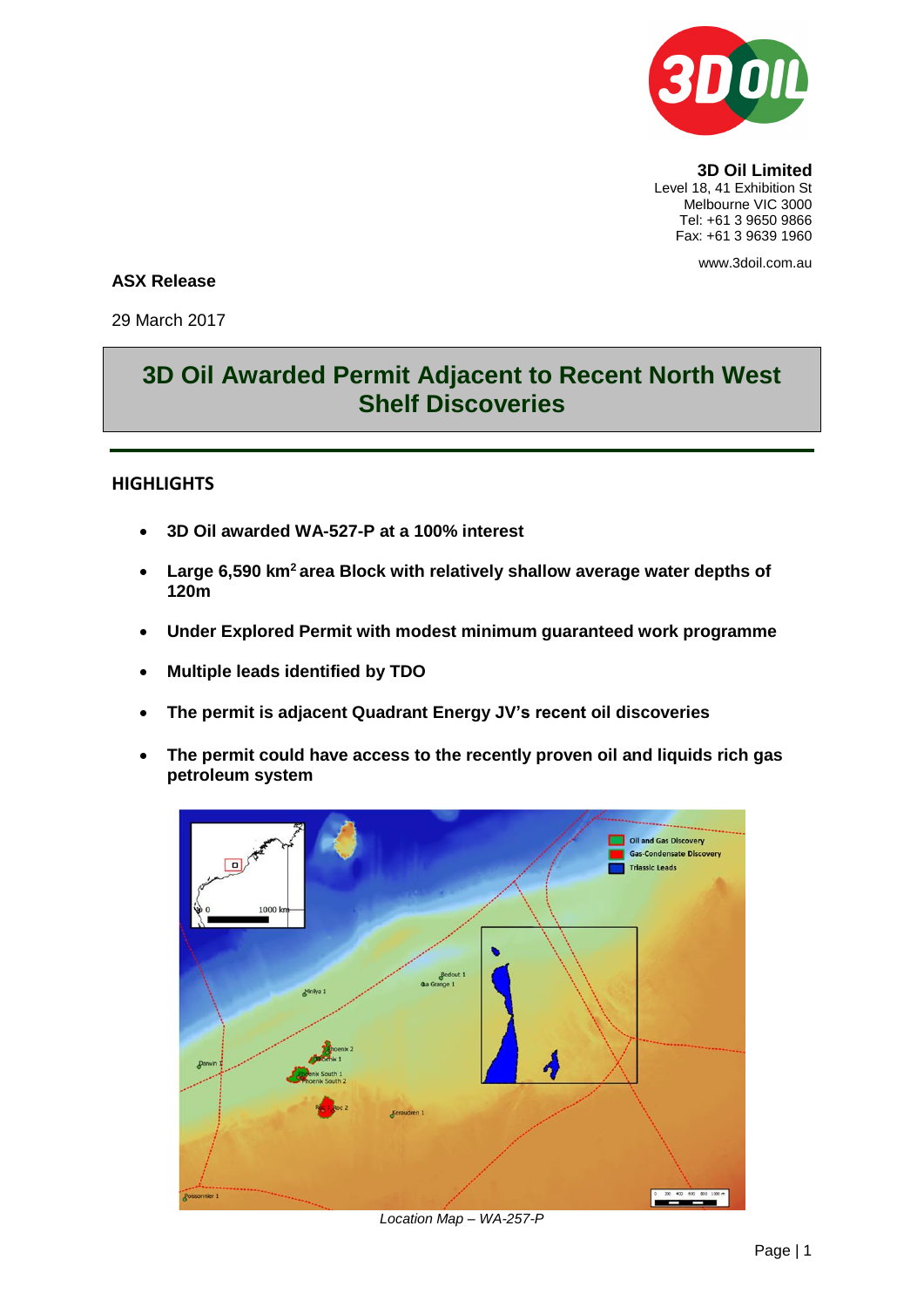

**3D Oil Limited** Level 18, 41 Exhibition St Melbourne VIC 3000 Tel: +61 3 9650 9866 Fax: +61 3 9639 1960

www.3doil.com.au

## **ASX Release**

29 March 2017

## **3D Oil Awarded Permit Adjacent to Recent North West Shelf Discoveries**

## **HIGHLIGHTS**

- **3D Oil awarded WA-527-P at a 100% interest**
- **Large 6,590 km<sup>2</sup>area Block with relatively shallow average water depths of 120m**
- **Under Explored Permit with modest minimum guaranteed work programme**
- **Multiple leads identified by TDO**
- **The permit is adjacent Quadrant Energy JV's recent oil discoveries**
- **The permit could have access to the recently proven oil and liquids rich gas petroleum system**



*Location Map – WA-257-P*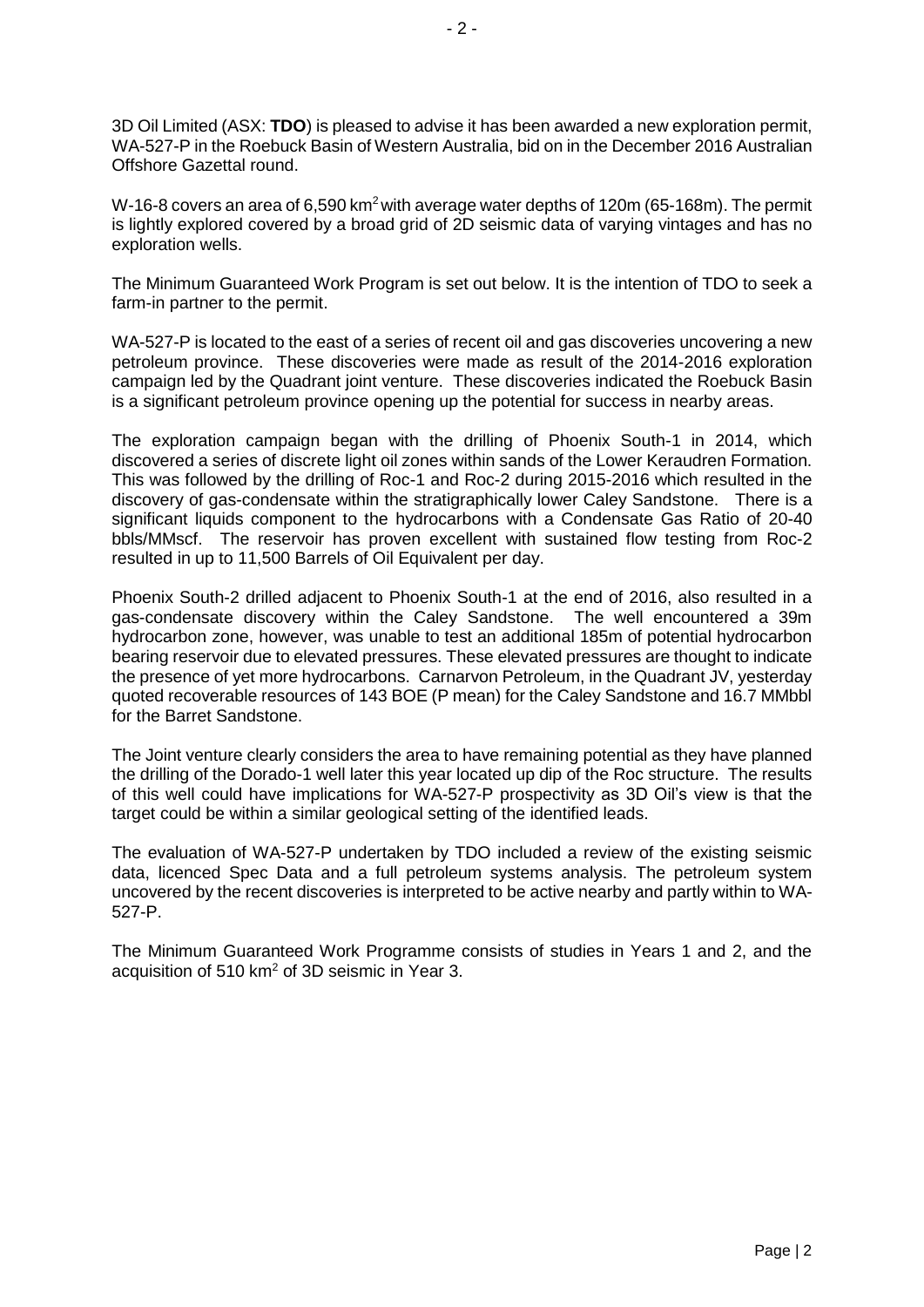3D Oil Limited (ASX: **TDO**) is pleased to advise it has been awarded a new exploration permit, WA-527-P in the Roebuck Basin of Western Australia, bid on in the December 2016 Australian Offshore Gazettal round.

W-16-8 covers an area of 6,590 km<sup>2</sup> with average water depths of 120m (65-168m). The permit is lightly explored covered by a broad grid of 2D seismic data of varying vintages and has no exploration wells.

The Minimum Guaranteed Work Program is set out below. It is the intention of TDO to seek a farm-in partner to the permit.

WA-527-P is located to the east of a series of recent oil and gas discoveries uncovering a new petroleum province. These discoveries were made as result of the 2014-2016 exploration campaign led by the Quadrant joint venture. These discoveries indicated the Roebuck Basin is a significant petroleum province opening up the potential for success in nearby areas.

The exploration campaign began with the drilling of Phoenix South-1 in 2014, which discovered a series of discrete light oil zones within sands of the Lower Keraudren Formation. This was followed by the drilling of Roc-1 and Roc-2 during 2015-2016 which resulted in the discovery of gas-condensate within the stratigraphically lower Caley Sandstone. There is a significant liquids component to the hydrocarbons with a Condensate Gas Ratio of 20-40 bbls/MMscf. The reservoir has proven excellent with sustained flow testing from Roc-2 resulted in up to 11,500 Barrels of Oil Equivalent per day.

Phoenix South-2 drilled adjacent to Phoenix South-1 at the end of 2016, also resulted in a gas-condensate discovery within the Caley Sandstone. The well encountered a 39m hydrocarbon zone, however, was unable to test an additional 185m of potential hydrocarbon bearing reservoir due to elevated pressures. These elevated pressures are thought to indicate the presence of yet more hydrocarbons. Carnarvon Petroleum, in the Quadrant JV, yesterday quoted recoverable resources of 143 BOE (P mean) for the Caley Sandstone and 16.7 MMbbl for the Barret Sandstone.

The Joint venture clearly considers the area to have remaining potential as they have planned the drilling of the Dorado-1 well later this year located up dip of the Roc structure. The results of this well could have implications for WA-527-P prospectivity as 3D Oil's view is that the target could be within a similar geological setting of the identified leads.

The evaluation of WA-527-P undertaken by TDO included a review of the existing seismic data, licenced Spec Data and a full petroleum systems analysis. The petroleum system uncovered by the recent discoveries is interpreted to be active nearby and partly within to WA-527-P.

The Minimum Guaranteed Work Programme consists of studies in Years 1 and 2, and the acquisition of 510 km<sup>2</sup> of 3D seismic in Year 3.